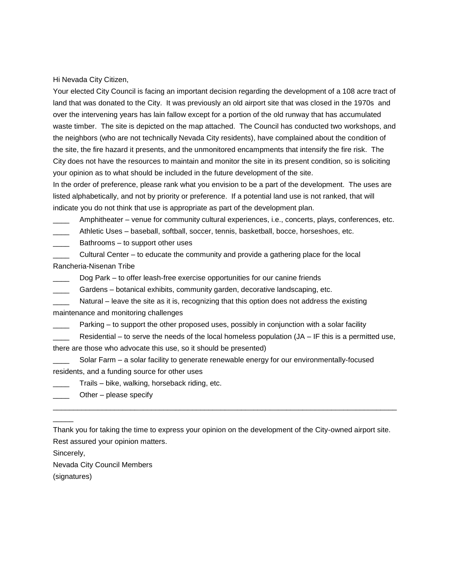Hi Nevada City Citizen,

Your elected City Council is facing an important decision regarding the development of a 108 acre tract of land that was donated to the City. It was previously an old airport site that was closed in the 1970s and over the intervening years has lain fallow except for a portion of the old runway that has accumulated waste timber. The site is depicted on the map attached. The Council has conducted two workshops, and the neighbors (who are not technically Nevada City residents), have complained about the condition of the site, the fire hazard it presents, and the unmonitored encampments that intensify the fire risk. The City does not have the resources to maintain and monitor the site in its present condition, so is soliciting your opinion as to what should be included in the future development of the site.

In the order of preference, please rank what you envision to be a part of the development. The uses are listed alphabetically, and not by priority or preference. If a potential land use is not ranked, that will indicate you do not think that use is appropriate as part of the development plan.

Amphitheater – venue for community cultural experiences, i.e., concerts, plays, conferences, etc.

Athletic Uses – baseball, softball, soccer, tennis, basketball, bocce, horseshoes, etc.

Bathrooms – to support other uses

Cultural Center – to educate the community and provide a gathering place for the local Rancheria-Nisenan Tribe

Dog Park – to offer leash-free exercise opportunities for our canine friends

Gardens – botanical exhibits, community garden, decorative landscaping, etc.

Natural – leave the site as it is, recognizing that this option does not address the existing maintenance and monitoring challenges

Parking – to support the other proposed uses, possibly in conjunction with a solar facility

Residential – to serve the needs of the local homeless population  $(JA - IF$  this is a permitted use, there are those who advocate this use, so it should be presented)

Solar Farm – a solar facility to generate renewable energy for our environmentally-focused residents, and a funding source for other uses

Trails – bike, walking, horseback riding, etc.

 $\Box$  Other – please specify

Thank you for taking the time to express your opinion on the development of the City-owned airport site. Rest assured your opinion matters.

\_\_\_\_\_\_\_\_\_\_\_\_\_\_\_\_\_\_\_\_\_\_\_\_\_\_\_\_\_\_\_\_\_\_\_\_\_\_\_\_\_\_\_\_\_\_\_\_\_\_\_\_\_\_\_\_\_\_\_\_\_\_\_\_\_\_\_\_\_\_\_\_\_\_\_\_\_\_\_\_\_\_\_\_

Sincerely,

 $\overline{\phantom{a}}$ 

Nevada City Council Members

(signatures)